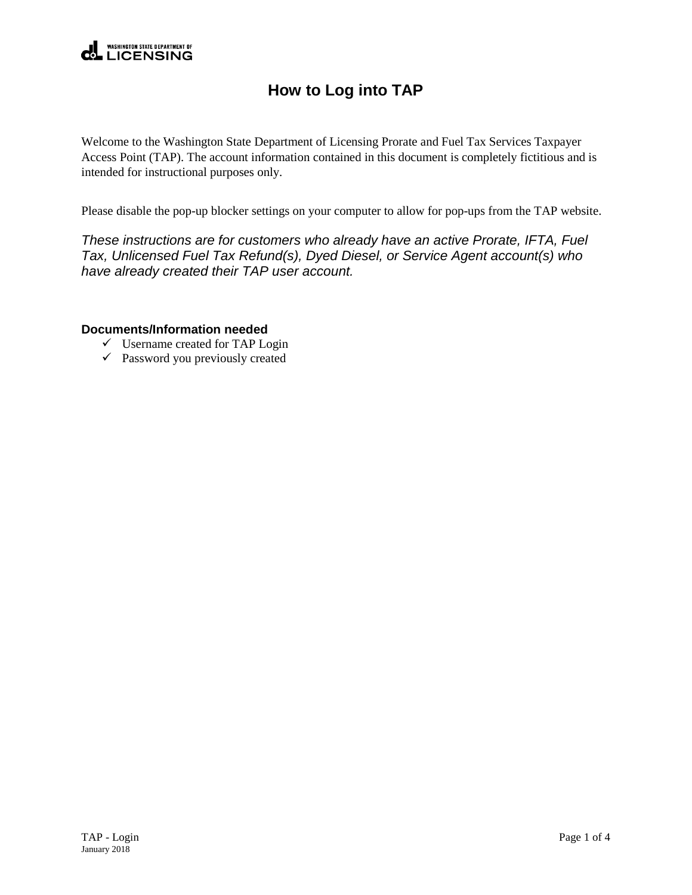

## **How to Log into TAP**

Welcome to the Washington State Department of Licensing Prorate and Fuel Tax Services Taxpayer Access Point (TAP). The account information contained in this document is completely fictitious and is intended for instructional purposes only.

Please disable the pop-up blocker settings on your computer to allow for pop-ups from the TAP website.

*These instructions are for customers who already have an active Prorate, IFTA, Fuel Tax, Unlicensed Fuel Tax Refund(s), Dyed Diesel, or Service Agent account(s) who have already created their TAP user account.*

## **Documents/Information needed**

- $\checkmark$  Username created for TAP Login
- $\checkmark$  Password you previously created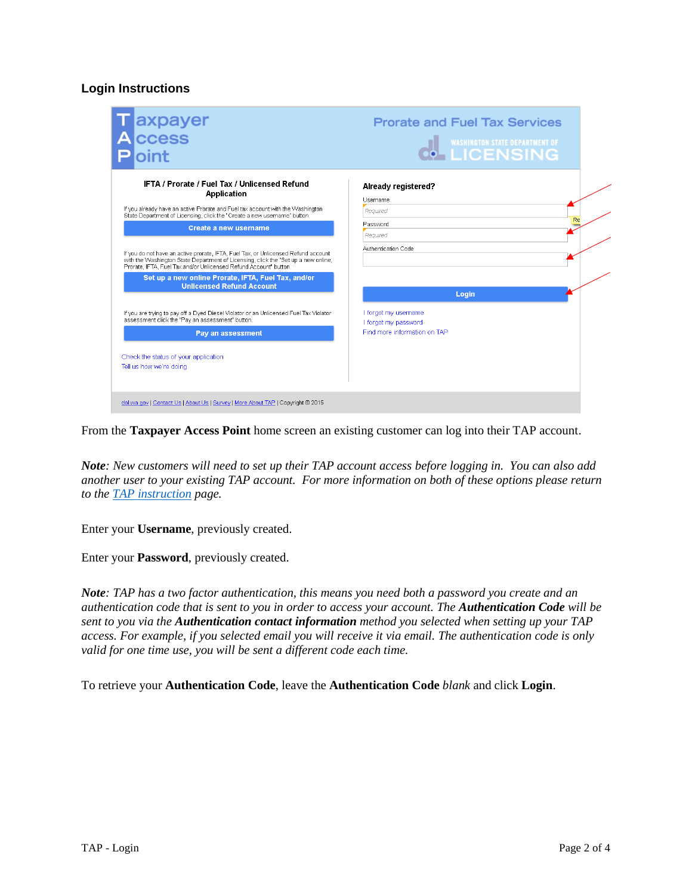## **Login Instructions**

| <b>Prorate and Fuel Tax Services</b><br><b>WASHINGTON STATE DEPARTMENT OF</b>              |
|--------------------------------------------------------------------------------------------|
| Already registered?<br>Username<br>Required<br>Password<br>Reauired<br>Authentication Code |
| Login                                                                                      |
| I forgot my username<br>I forgot my password<br>Find more information on TAP               |
|                                                                                            |

From the **Taxpayer Access Point** home screen an existing customer can log into their TAP account.

*Note: New customers will need to set up their TAP account access before logging in. You can also add another user to your existing TAP account. For more information on both of these options please return to the [TAP instruction](http://www.dol.wa.gov/vehicleregistration/tap.html) page.* 

Enter your **Username**, previously created.

Enter your **Password**, previously created.

*Note: TAP has a two factor authentication, this means you need both a password you create and an authentication code that is sent to you in order to access your account. The Authentication Code will be sent to you via the Authentication contact information method you selected when setting up your TAP access. For example, if you selected email you will receive it via email. The authentication code is only valid for one time use, you will be sent a different code each time.*

To retrieve your **Authentication Code**, leave the **Authentication Code** *blank* and click **Login**.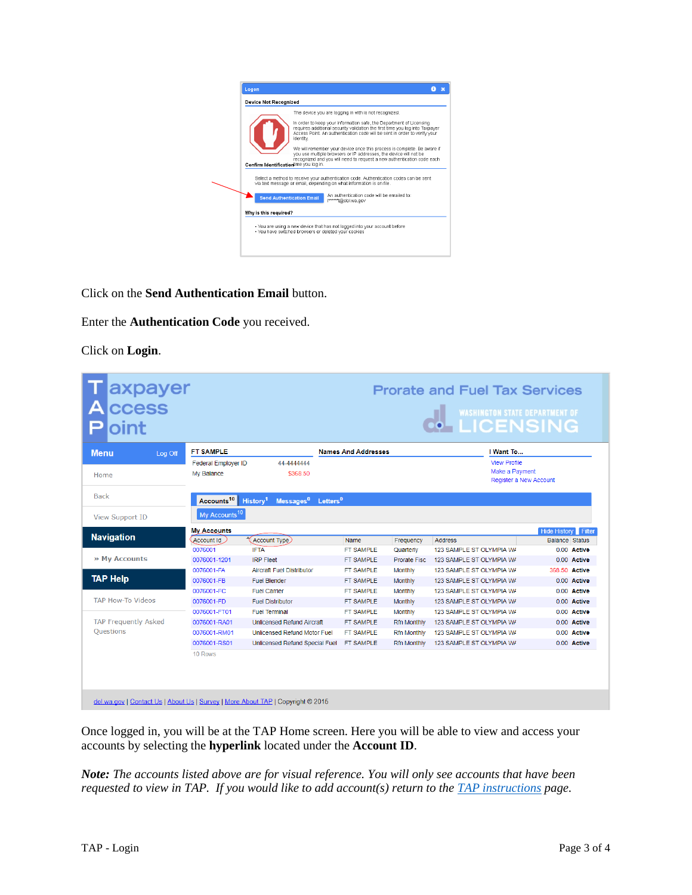

Click on the **Send Authentication Email** button.

Enter the **Authentication Code** you received.

Click on **Login**.

| axpayer<br>oint                                                                 | <b>Prorate and Fuel Tax Services</b><br>WASHINGTON STATE DEPARTMENT OF |                                                             |                            |                    |                          |                            |  |
|---------------------------------------------------------------------------------|------------------------------------------------------------------------|-------------------------------------------------------------|----------------------------|--------------------|--------------------------|----------------------------|--|
| <b>Menu</b><br>Log Off                                                          | <b>FT SAMPLE</b>                                                       |                                                             | <b>Names And Addresses</b> |                    | I Want To                |                            |  |
|                                                                                 | Federal Employer ID                                                    | 44-4444444                                                  |                            |                    | <b>View Profile</b>      |                            |  |
| Home                                                                            | My Balance                                                             | \$368.50                                                    |                            |                    | Make a Payment           |                            |  |
|                                                                                 |                                                                        |                                                             |                            |                    |                          | Register a New Account     |  |
| <b>Back</b>                                                                     | Accounts <sup>10</sup>                                                 | $L$ etters $^0$<br>History <sup>1</sup><br>$M$ essages $^0$ |                            |                    |                          |                            |  |
|                                                                                 |                                                                        |                                                             |                            |                    |                          |                            |  |
| <b>View Support ID</b>                                                          | My Accounts <sup>10</sup>                                              |                                                             |                            |                    |                          |                            |  |
|                                                                                 | <b>My Accounts</b>                                                     |                                                             |                            |                    |                          | <b>Hide History</b> Filter |  |
| <b>Navigation</b>                                                               | Account Id                                                             | (Account Type)                                              | Name                       | Frequency          | <b>Address</b>           | <b>Balance Status</b>      |  |
| » My Accounts                                                                   | 0076001                                                                | <b>IFTA</b>                                                 | <b>FT SAMPLE</b>           | Quarterly          | 123 SAMPLE ST OLYMPIA WA | 0.00 Active                |  |
|                                                                                 | 0076001-1201                                                           | <b>IRP Fleet</b>                                            | FT SAMPLE                  | Prorate Fisc.      | 123 SAMPLE ST OLYMPIA WA | 0.00 Active                |  |
| <b>TAP Help</b><br><b>TAP How-To Videos</b>                                     | 0076001-FA                                                             | <b>Aircraft Fuel Distributor</b>                            | <b>FT SAMPLE</b>           | Monthly            | 123 SAMPLE ST OLYMPIA WA | 368.50 Active              |  |
|                                                                                 | 0076001-FB                                                             | <b>Fuel Blender</b>                                         | FT SAMPLE                  | Monthly            | 123 SAMPLE ST OLYMPIA WA | 0.00 Active                |  |
|                                                                                 | 0076001-FC                                                             | <b>Fuel Carrier</b>                                         | FT SAMPLE                  | Monthly            | 123 SAMPLE ST OLYMPIA WA | 0.00 Active                |  |
|                                                                                 | 0076001-FD                                                             | <b>Fuel Distributor</b>                                     | FT SAMPLE                  | Monthly            | 123 SAMPLE ST OLYMPIA WA | 0.00 Active                |  |
|                                                                                 | 0076001-FT01                                                           | <b>Fuel Terminal</b>                                        | FT SAMPLE                  | Monthly            | 123 SAMPLE ST OLYMPIA WA | 0.00 Active                |  |
| <b>TAP Frequently Asked</b>                                                     | 0076001-RA01                                                           | <b>Unlicensed Refund Aircraft</b>                           | <b>FT SAMPLE</b>           | <b>Rfn Monthly</b> | 123 SAMPLE ST OLYMPIA WA | 0.00 Active                |  |
| <b>Ouestions</b>                                                                | 0076001-RM01                                                           | Unlicensed Refund Motor Fuel                                | FT SAMPLE                  | <b>Rfn Monthly</b> | 123 SAMPLE ST OLYMPIA WA | 0.00 Active                |  |
|                                                                                 | 0076001-RS01                                                           | Unlicensed Refund Special Fuel                              | FT SAMPLE                  | <b>Rfn Monthly</b> | 123 SAMPLE ST OLYMPIA WA | 0.00 Active                |  |
|                                                                                 | 10 Rows                                                                |                                                             |                            |                    |                          |                            |  |
| dol.wa.gov   Contact Us   About Us   Survey   More About TAP   Copyright @ 2015 |                                                                        |                                                             |                            |                    |                          |                            |  |

Once logged in, you will be at the TAP Home screen. Here you will be able to view and access your accounts by selecting the **hyperlink** located under the **Account ID**.

*Note: The accounts listed above are for visual reference. You will only see accounts that have been requested to view in TAP. If you would like to add account(s) return to th[e TAP instructions](http://www.dol.wa.gov/vehicleregistration/tap.html) page.*